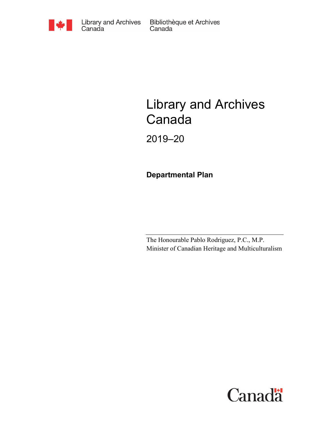

Bibliothèque et Archives Canada

# Library and Archives Canada

2019–20

**Departmental Plan**

The Honourable Pablo Rodriguez, P.C., M.P. Minister of Canadian Heritage and Multiculturalism

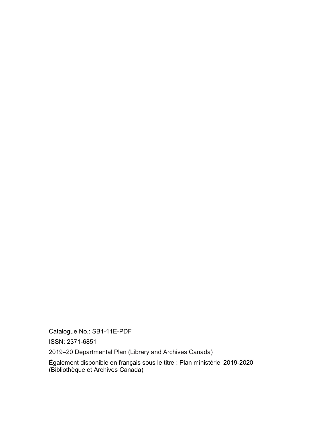Catalogue No.: SB1-11E-PDF

ISSN: 2371-6851

2019–20 Departmental Plan (Library and Archives Canada)

Également disponible en français sous le titre : Plan ministériel 2019-2020 (Bibliothèque et Archives Canada)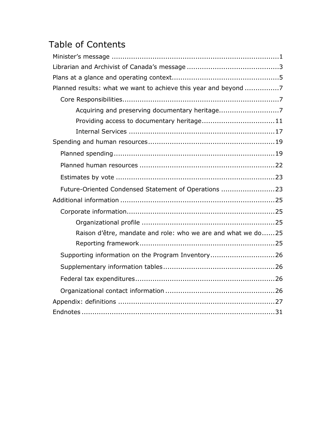# Table of Contents

| Planned results: what we want to achieve this year and beyond 7 |  |
|-----------------------------------------------------------------|--|
|                                                                 |  |
| Acquiring and preserving documentary heritage7                  |  |
| Providing access to documentary heritage11                      |  |
|                                                                 |  |
|                                                                 |  |
|                                                                 |  |
|                                                                 |  |
|                                                                 |  |
| Future-Oriented Condensed Statement of Operations 23            |  |
|                                                                 |  |
|                                                                 |  |
|                                                                 |  |
| Raison d'être, mandate and role: who we are and what we do25    |  |
|                                                                 |  |
| Supporting information on the Program Inventory26               |  |
|                                                                 |  |
|                                                                 |  |
|                                                                 |  |
|                                                                 |  |
|                                                                 |  |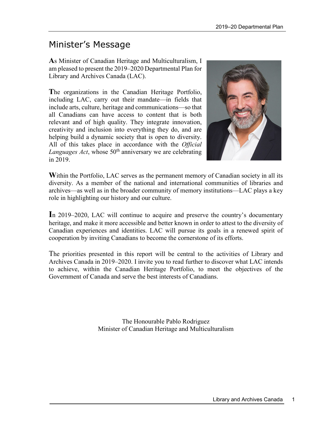# <span id="page-4-0"></span>Minister's Message

**A**s Minister of Canadian Heritage and Multiculturalism, I am pleased to present the 2019–2020 Departmental Plan for Library and Archives Canada (LAC).

**T**he organizations in the Canadian Heritage Portfolio, including LAC, carry out their mandate—in fields that include arts, culture, heritage and communications—so that all Canadians can have access to content that is both relevant and of high quality. They integrate innovation, creativity and inclusion into everything they do, and are helping build a dynamic society that is open to diversity. All of this takes place in accordance with the *Official Languages Act*, whose 50<sup>th</sup> anniversary we are celebrating in 2019.



Within the Portfolio, LAC serves as the permanent memory of Canadian society in all its diversity. As a member of the national and international communities of libraries and archives—as well as in the broader community of memory institutions—LAC plays a key role in highlighting our history and our culture.

**I**n 2019–2020, LAC will continue to acquire and preserve the country's documentary heritage, and make it more accessible and better known in order to attest to the diversity of Canadian experiences and identities. LAC will pursue its goals in a renewed spirit of cooperation by inviting Canadians to become the cornerstone of its efforts.

The priorities presented in this report will be central to the activities of Library and Archives Canada in 2019–2020. I invite you to read further to discover what LAC intends to achieve, within the Canadian Heritage Portfolio, to meet the objectives of the Government of Canada and serve the best interests of Canadians.

> The Honourable Pablo Rodriguez Minister of Canadian Heritage and Multiculturalism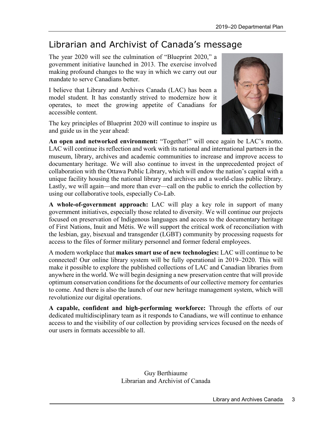# <span id="page-6-0"></span>Librarian and Archivist of Canada's message

The year 2020 will see the culmination of "Blueprint 2020," a government initiative launched in 2013. The exercise involved making profound changes to the way in which we carry out our mandate to serve Canadians better.

I believe that Library and Archives Canada (LAC) has been a model student. It has constantly strived to modernize how it operates, to meet the growing appetite of Canadians for accessible content.

The key principles of Blueprint 2020 will continue to inspire us and guide us in the year ahead:



**An open and networked environment:** "Together!" will once again be LAC's motto. LAC will continue its reflection and work with its national and international partners in the museum, library, archives and academic communities to increase and improve access to documentary heritage. We will also continue to invest in the unprecedented project of collaboration with the Ottawa Public Library, which will endow the nation's capital with a unique facility housing the national library and archives and a world-class public library. Lastly, we will again—and more than ever—call on the public to enrich the collection by using our collaborative tools, especially Co-Lab.

**A whole-of-government approach:** LAC will play a key role in support of many government initiatives, especially those related to diversity. We will continue our projects focused on preservation of Indigenous languages and access to the documentary heritage of First Nations, Inuit and Métis. We will support the critical work of reconciliation with the lesbian, gay, bisexual and transgender (LGBT) community by processing requests for access to the files of former military personnel and former federal employees.

A modern workplace that **makes smart use of new technologies:** LAC will continue to be connected! Our online library system will be fully operational in 2019–2020. This will make it possible to explore the published collections of LAC and Canadian libraries from anywhere in the world. We will begin designing a new preservation centre that will provide optimum conservation conditions for the documents of our collective memory for centuries to come. And there is also the launch of our new heritage management system, which will revolutionize our digital operations.

**A capable, confident and high-performing workforce:** Through the efforts of our dedicated multidisciplinary team as it responds to Canadians, we will continue to enhance access to and the visibility of our collection by providing services focused on the needs of our users in formats accessible to all.

> Guy Berthiaume Librarian and Archivist of Canada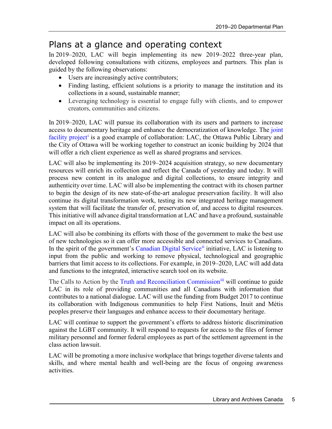## <span id="page-8-0"></span>Plans at a glance and operating context

In 2019–2020, LAC will begin implementing its new 2019–2022 three-year plan, developed following consultations with citizens, employees and partners. This plan is guided by the following observations:

- Users are increasingly active contributors;
- Finding lasting, efficient solutions is a priority to manage the institution and its collections in a sound, sustainable manner;
- Leveraging technology is essential to engage fully with clients, and to empower creators, communities and citizens.

In 2019–2020, LAC will pursue its collaboration with its users and partners to increase access to documentary heritage and enhance the democratization of knowledge. The [joint](https://ottawacentrallibrary.ca/the-project)  [facility project](https://ottawacentrallibrary.ca/the-project)<sup>[i](#page-35-0)</sup> is a good example of collaboration: LAC, the Ottawa Public Library and the City of Ottawa will be working together to construct an iconic building by 2024 that will offer a rich client experience as well as shared programs and services.

LAC will also be implementing its 2019–2024 acquisition strategy, so new documentary resources will enrich its collection and reflect the Canada of yesterday and today. It will process new content in its analogue and digital collections, to ensure integrity and authenticity over time. LAC will also be implementing the contract with its chosen partner to begin the design of its new state-of-the-art analogue preservation facility. It will also continue its digital transformation work, testing its new integrated heritage management system that will facilitate the transfer of, preservation of, and access to digital resources. This initiative will advance digital transformation at LAC and have a profound, sustainable impact on all its operations.

LAC will also be combining its efforts with those of the government to make the best use of new technologies so it can offer more accessible and connected services to Canadians. In the spirit of the government's [Canadian Digital Service](https://digital.canada.ca/)<sup>[ii](#page-35-1)</sup> initiative, LAC is listening to input from the public and working to remove physical, technological and geographic barriers that limit access to its collections. For example, in 2019–2020, LAC will add data and functions to the integrated, interactive search tool on its website.

The Calls to Action by the [Truth and Reconciliation Commission](http://nctr.ca/assets/reports/Calls_to_Action_English2.pdf)<sup>[iii](#page-35-2)</sup> will continue to guide LAC in its role of providing communities and all Canadians with information that contributes to a national dialogue. LAC will use the funding from Budget 2017 to continue its collaboration with Indigenous communities to help First Nations, Inuit and Métis peoples preserve their languages and enhance access to their documentary heritage.

LAC will continue to support the government's efforts to address historic discrimination against the LGBT community. It will respond to requests for access to the files of former military personnel and former federal employees as part of the settlement agreement in the class action lawsuit.

LAC will be promoting a more inclusive workplace that brings together diverse talents and skills, and where mental health and well-being are the focus of ongoing awareness activities.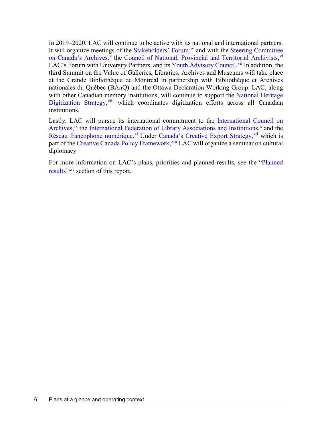In 2019–2020, LAC will continue to be active with its national and international partners. It will organize meetings of the [Stakeholders'](http://www.bac-lac.gc.ca/eng/about-us/Pages/stakeholders-forum.aspx) Forum, <sup>[iv](#page-35-3)</sup> and with the Steering Committee [on Canada's Archives,](https://archives2026.com/meetings/)<sup>[v](#page-35-4)</sup> the [Council of National, Provincial and Territorial Archivists,](http://www.archivescanada.ca/Networks)<sup>[vi](#page-35-5)</sup> LAC's Forum with University Partners, and its [Youth Advisory Council.](http://www.bac-lac.gc.ca/eng/about-us/Pages/youth-advisory-council.aspx)<sup>[vii](#page-35-6)</sup> In addition, the third Summit on the Value of Galleries, Libraries, Archives and Museums will take place at the Grande Bibliothèque de Montréal in partnership with Bibliothèque et Archives nationales du Québec (BAnQ) and the Ottawa Declaration Working Group. LAC, along with other Canadian memory institutions, will continue to support the National Heritage [Digitization Strategy,](https://nhds.ca/) [viii](#page-35-7) which coordinates digitization efforts across all Canadian institutions.

Lastly, LAC will pursue its international commitment to the [International Council on](https://www.ica.org/en)  [Archives,](https://www.ica.org/en)<sup>[ix](#page-35-8)</sup> the [International Federation of Library Associations and Institutions,](https://www.ifla.org/)<sup>[x](#page-35-9)</sup> and the [Réseau francophone numérique.](http://www.rfnum.org/)<sup>[xi](#page-35-10)</sup> Under [Canada's Creative Export Strategy,](https://www.canada.ca/en/canadian-heritage/services/exporting-creative-industries/creative-export-strategy.html)<sup>[xii](#page-35-11)</sup> which is part of the [Creative Canada Policy Framework,](https://www.canada.ca/en/canadian-heritage/campaigns/creative-canada/framework.html) [xiii](#page-35-12) LAC will organize a seminar on cultural diplomacy.

For more information on LAC's plans, priorities and planned results, see the "Planned [results"](https://www.bac-lac.gc.ca/eng/about-us/report-plans-priorities/departmental-plan-2019-2020/Pages/departmental-plan-2019-2020.aspx#pr)<sup>[xiv](#page-35-13)</sup> section of this report.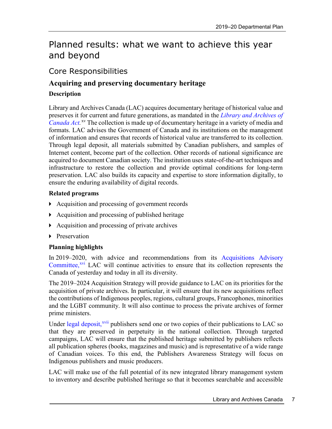# <span id="page-10-0"></span>Planned results: what we want to achieve this year and beyond

### <span id="page-10-1"></span>Core Responsibilities

# <span id="page-10-2"></span>**Acquiring and preserving documentary heritage**

### **Description**

Library and Archives Canada (LAC) acquires documentary heritage of historical value and preserves it for current and future generations, as mandated in the *[Library and Archives of](http://laws-lois.justice.gc.ca/eng/acts/L-7.7/page-1.html)*  [Canada Act.](http://laws-lois.justice.gc.ca/eng/acts/L-7.7/page-1.html)<sup>[xv](#page-35-14)</sup> The collection is made up of documentary heritage in a variety of media and formats. LAC advises the Government of Canada and its institutions on the management of information and ensures that records of historical value are transferred to its collection. Through legal deposit, all materials submitted by Canadian publishers, and samples of Internet content, become part of the collection. Other records of national significance are acquired to document Canadian society. The institution uses state-of-the-art techniques and infrastructure to restore the collection and provide optimal conditions for long-term preservation. LAC also builds its capacity and expertise to store information digitally, to ensure the enduring availability of digital records.

### **Related programs**

- ▶ Acquisition and processing of government records
- Acquisition and processing of published heritage
- Acquisition and processing of private archives
- **Preservation**

### **Planning highlights**

In 2019–2020, with advice and recommendations from its [Acquisitions Advisory](http://www.bac-lac.gc.ca/eng/about-us/Pages/acquisitions-advisory-committee.aspx)  [Committee,](http://www.bac-lac.gc.ca/eng/about-us/Pages/acquisitions-advisory-committee.aspx)<sup> $xvi$ </sup> LAC will continue activities to ensure that its collection represents the Canada of yesterday and today in all its diversity.

The 2019–2024 Acquisition Strategy will provide guidance to LAC on its priorities for the acquisition of private archives. In particular, it will ensure that its new acquisitions reflect the contributions of Indigenous peoples, regions, cultural groups, Francophones, minorities and the LGBT community. It will also continue to process the private archives of former prime ministers.

Under [legal deposit,](https://laws-lois.justice.gc.ca/eng/regulations/SOR-2006-337/index.html)<sup>[xvii](#page-35-16)</sup> publishers send one or two copies of their publications to LAC so that they are preserved in perpetuity in the national collection. Through targeted campaigns, LAC will ensure that the published heritage submitted by publishers reflects all publication spheres (books, magazines and music) and is representative of a wide range of Canadian voices. To this end, the Publishers Awareness Strategy will focus on Indigenous publishers and music producers.

LAC will make use of the full potential of its new integrated library management system to inventory and describe published heritage so that it becomes searchable and accessible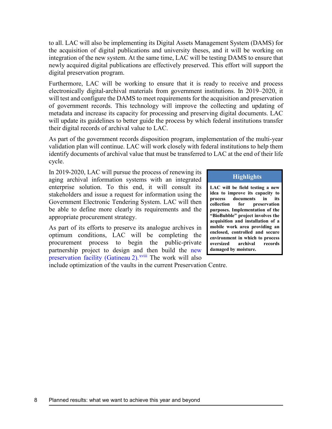to all. LAC will also be implementing its Digital Assets Management System (DAMS) for the acquisition of digital publications and university theses, and it will be working on integration of the new system. At the same time, LAC will be testing DAMS to ensure that newly acquired digital publications are effectively preserved. This effort will support the digital preservation program.

Furthermore, LAC will be working to ensure that it is ready to receive and process electronically digital-archival materials from government institutions. In 2019–2020, it will test and configure the DAMS to meet requirements for the acquisition and preservation of government records. This technology will improve the collecting and updating of metadata and increase its capacity for processing and preserving digital documents. LAC will update its guidelines to better guide the process by which federal institutions transfer their digital records of archival value to LAC.

As part of the government records disposition program, implementation of the multi-year validation plan will continue. LAC will work closely with federal institutions to help them identify documents of archival value that must be transferred to LAC at the end of their life cycle.

In 2019-2020, LAC will pursue the process of renewing its aging archival information systems with an integrated enterprise solution. To this end, it will consult its stakeholders and issue a request for information using the Government Electronic Tendering System. LAC will then be able to define more clearly its requirements and the appropriate procurement strategy.

As part of its efforts to preserve its analogue archives in optimum conditions, LAC will be completing the procurement process to begin the public-private partnership project to design and [th](#page-35-17)en build the [new](http://www.bac-lac.gc.ca/eng/about-us/preservation/Pages/gatineau-2.aspx)  [preservation facility \(Gatineau](http://www.bac-lac.gc.ca/eng/about-us/preservation/Pages/gatineau-2.aspx) 2).<sup>xviii</sup> The work will also

#### **Highlights**

**LAC will be field testing a new idea to improve its capacity to process documents in its collection for preservation purposes. Implementation of the "BioBubble" project involves the acquisition and installation of a mobile work area providing an enclosed, controlled and secure environment in which to process oversized archival records damaged by moisture.**

include optimization of the vaults in the current Preservation Centre.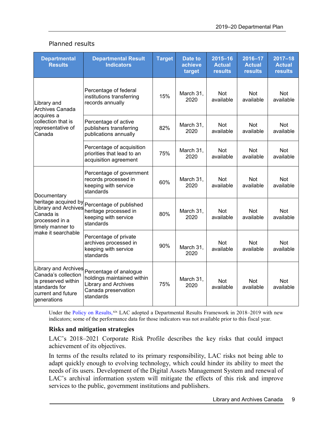| <b>Departmental</b><br><b>Results</b>                                                                                           | <b>Departmental Result</b><br><b>Indicators</b>                                                                         | <b>Target</b> | <b>Date to</b><br>achieve<br>target | $2015 - 16$<br><b>Actual</b><br><b>results</b> | 2016-17<br><b>Actual</b><br><b>results</b> | $2017 - 18$<br><b>Actual</b><br><b>results</b> |
|---------------------------------------------------------------------------------------------------------------------------------|-------------------------------------------------------------------------------------------------------------------------|---------------|-------------------------------------|------------------------------------------------|--------------------------------------------|------------------------------------------------|
| Library and<br>Archives Canada                                                                                                  | Percentage of federal<br>institutions transferring<br>records annually                                                  | 15%           | March 31,<br>2020                   | <b>Not</b><br>available                        | <b>Not</b><br>available                    | <b>Not</b><br>available                        |
| acquires a<br>collection that is<br>representative of<br>Canada                                                                 | Percentage of active<br>publishers transferring<br>publications annually                                                | 82%           | March 31,<br>2020                   | <b>Not</b><br>available                        | <b>Not</b><br>available                    | <b>Not</b><br>available                        |
|                                                                                                                                 | Percentage of acquisition<br>priorities that lead to an<br>acquisition agreement                                        | 75%           | March 31,<br>2020                   | <b>Not</b><br>available                        | <b>Not</b><br>available                    | <b>Not</b><br>available                        |
| Documentary                                                                                                                     | Percentage of government<br>records processed in<br>keeping with service<br>standards                                   | 60%           | March 31,<br>2020                   | Not<br>available                               | <b>Not</b><br>available                    | <b>Not</b><br>available                        |
| heritage acquired by<br><b>Library and Archives</b><br>Canada is<br>processed in a<br>timely manner to                          | Percentage of published<br>heritage processed in<br>keeping with service<br>standards                                   | 80%           | March 31,<br>2020                   | <b>Not</b><br>available                        | <b>Not</b><br>available                    | <b>Not</b><br>available                        |
| make it searchable                                                                                                              | Percentage of private<br>archives processed in<br>keeping with service<br>standards                                     | 90%           | March 31,<br>2020                   | Not<br>available                               | Not<br>available                           | <b>Not</b><br>available                        |
| <b>Library and Archives</b><br>Canada's collection<br>is preserved within<br>standards for<br>current and future<br>generations | Percentage of analogue<br>holdings maintained within<br><b>Library and Archives</b><br>Canada preservation<br>standards | 75%           | March 31,<br>2020                   | <b>Not</b><br>available                        | <b>Not</b><br>available                    | Not<br>available                               |

### Planned results

Under the [Policy on Results,](https://www.tbs-sct.gc.ca/pol/doc-eng.aspx?id=31300) [xix](#page-35-18) LAC adopted a Departmental Results Framework in 2018–2019 with new indicators; some of the performance data for those indicators was not available prior to this fiscal year.

#### **Risks and mitigation strategies**

LAC's 2018–2021 Corporate Risk Profile describes the key risks that could impact achievement of its objectives.

In terms of the results related to its primary responsibility, LAC risks not being able to adapt quickly enough to evolving technology, which could hinder its ability to meet the needs of its users. Development of the Digital Assets Management System and renewal of LAC's archival information system will mitigate the effects of this risk and improve services to the public, government institutions and publishers.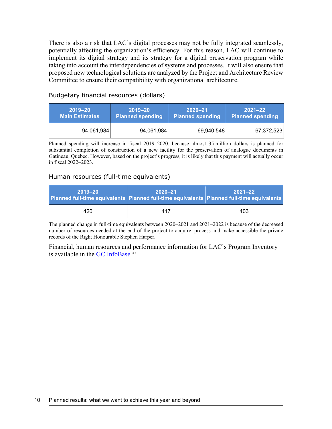There is also a risk that LAC's digital processes may not be fully integrated seamlessly, potentially affecting the organization's efficiency. For this reason, LAC will continue to implement its digital strategy and its strategy for a digital preservation program while taking into account the interdependencies of systems and processes. It will also ensure that proposed new technological solutions are analyzed by the Project and Architecture Review Committee to ensure their compatibility with organizational architecture.

Budgetary financial resources (dollars)

| $2019 - 20$           | $2019 - 20$             | $2020 - 21$             | $2021 - 22$             |
|-----------------------|-------------------------|-------------------------|-------------------------|
| <b>Main Estimates</b> | <b>Planned spending</b> | <b>Planned spending</b> | <b>Planned spending</b> |
| 94,061,984            | 94,061,984              | 69,940,548              | 67,372,523              |

Planned spending will increase in fiscal 2019–2020, because almost 35 million dollars is planned for substantial completion of construction of a new facility for the preservation of analogue documents in Gatineau, Quebec. However, based on the project's progress, it is likely that this payment will actually occur in fiscal 2022–2023.

#### Human resources (full-time equivalents)

| $2019 - 20$<br>Planned full-time equivalents   Planned full-time equivalents   Planned full-time equivalents | $2020 - 21$ | $2021 - 22$ |
|--------------------------------------------------------------------------------------------------------------|-------------|-------------|
| 420                                                                                                          | 417         | 403         |

The planned change in full-time equivalents between 2020–2021 and 2021–2022 is because of the decreased number of resources needed at the end of the project to acquire, process and make accessible the private records of the Right Honourable Stephen Harper.

Financial, human resources and performance information for LAC's Program Inventory is available in the GC [InfoBase.](https://www.tbs-sct.gc.ca/ems-sgd/edb-bdd/index-eng.html)<sup>[xx](#page-35-19)</sup>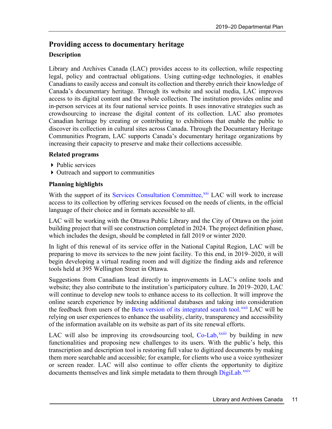# <span id="page-14-0"></span>**[Providing access to documentary heritage](https://www.tbs-sct.gc.ca/ems-sgd/edb-bdd/index-eng.html)**

### **Description**

Library and Archives Canada (LAC) provides access to its collection, while respecting legal, policy and contractual obligations. Using cutting-edge technologies, it enables Canadians to easily access and consult its collection and thereby enrich their knowledge of Canada's documentary heritage. Through its website and social media, LAC improves access to its digital content and the whole collection. The institution provides online and in-person services at its four national service points. It uses innovative strategies such as crowdsourcing to increase the digital content of its collection. LAC also promotes Canadian heritage by creating or contributing to exhibitions that enable the public to discover its collection in cultural sites across Canada. Through the Documentary Heritage Communities Program, LAC supports Canada's documentary heritage organizations by increasing their capacity to preserve and make their collections accessible.

#### **Related programs**

- ▶ Public services
- Outreach and support to communities

### **Planning highlights**

With the support of its [Services Consultation Committee,](http://www.bac-lac.gc.ca/eng/about-us/Pages/services-consultation-group.aspx)<sup>[xxi](#page-35-20)</sup> LAC will work to increase access to its collection by offering services focused on the needs of clients, in the official language of their choice and in formats accessible to all.

LAC will be working with the Ottawa Public Library and the City of Ottawa on the joint building project that will see construction completed in 2024. The project definition phase, which includes the design, should be completed in fall 2019 or winter 2020.

In light of this renewal of its service offer in the National Capital Region, LAC will be preparing to move its services to the new joint facility. To this end, in 2019–2020, it will begin developing a virtual reading room and will digitize the finding aids and reference tools held at 395 Wellington Street in Ottawa.

Suggestions from Canadians lead directly to improvements in LAC's online tools and website; they also contribute to the institution's participatory culture. In 2019–2020, LAC will continue to develop new tools to enhance access to its collection. It will improve the online search experience by indexing additional databases and taking into consideration the feedback from users of the [Beta version of its integrated search tool.](http://www.collectionscanada.gc.ca/lac-bac/search/all)<sup>[xxii](#page-35-21)</sup> LAC will be relying on user experiences to enhance the usability, clarity, transparency and accessibility of the information available on its website as part of its site renewal efforts.

LAC will also be improving its crowdsourcing tool, [Co-Lab,](https://co-lab.bac-lac.gc.ca/eng)<sup>xx[i](#page-35-22)ii</sup> by building in new functionalities and proposing new challenges to its users. With the public's help, this transcription and description tool is restoring full value to digitized documents by making them more searchable and accessible; for example, for clients who use a voice synthesizer or screen reader. LAC will also continue to offer clients the opportunity to digitize documents themselves and link simple metadata to them through [DigiLab.](http://www.bac-lac.gc.ca/eng/services-public/Pages/digilab.aspx)<sup>[xxiv](#page-35-23)</sup>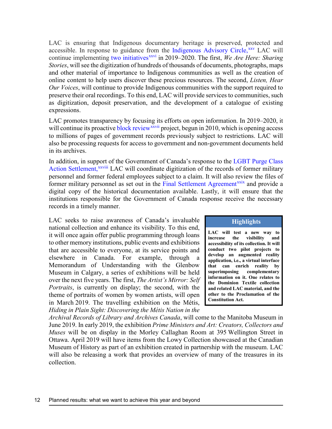LAC is ensuring that Indigenous documentary heritage is preserved, protected and accessible. In response to guidance from the [Indigenous Advisory Circle,](http://www.bac-lac.gc.ca/eng/about-us/Pages/Indigenous-Advisory-Circle.aspx) XXV LAC will continue implementing [two initiatives](http://www.bac-lac.gc.ca/eng/discover/aboriginal-heritage/Pages/indigenous-documentary-heritage-initiatives.aspx)<sup>[xxvi](#page-35-25)</sup> in 2019–2020. The first, *We Are Here: Sharing Stories*, will see the digitization of hundreds of thousands of documents, photographs, maps and other material of importance to Indigenous communities as well as the creation of online content to help users discover these precious resources. The second, *Listen, Hear Our Voices*, will continue to provide Indigenous communities with the support required to preserve their oral recordings. To this end, LAC will provide services to communities, such as digitization, deposit preservation, and the development of a catalogue of existing expressions.

LAC promotes transparency by focusing i[ts](#page-35-26) efforts on open information. In 2019–2020, it will continue its proactiv[e block review](http://www.bac-lac.gc.ca/eng/transparency/Pages/block-review-intro.aspx)<sup>xxvii</sup> project, begun in 2010, which is opening access to millions of pages of government records previously subject to restrictions. LAC will also be processing requests for access to government and non-government documents held in its archives.

In addition, in support [o](#page-35-27)f the Government of Canada's response to the [LGBT Purge Class](http://www.classaction.deloitte.ca/en-ca/Documents/LONG%20FORM%20NOTICE.PDF)  [Action Settlement,](http://www.classaction.deloitte.ca/en-ca/Documents/LONG%20FORM%20NOTICE.PDF)<sup>xxviii</sup> LAC will coordinate digitization of the records of former military personnel and former federal employees subject to a claim. It will also review the files of former military personnel as set out in the [Final Settlement Agreement](http://www.classaction.deloitte.ca/en-ca/Documents/Final%20Settlement%20Agreement.pdf)<sup>[xxix](#page-35-28)</sup> and provide a digital copy of the historical documentation available. Lastly, it will ensure that the institutions responsible for the Government of Canada response receive the necessary records in a timely manner.

LAC seeks to raise awareness of Canada's invaluable national collection and enhance its visibility. To this end, it will once again offer public programming through loans to other memory institutions, public events and exhibitions that are accessible to everyone, at its service points and elsewhere in Canada. For example, through a Memorandum of Understanding with the Glenbow Museum in Calgary, a series of exhibitions will be held over the next five years. The first, *The Artist's Mirror: Self Portraits*, is currently on display; the second, with the theme of portraits of women by women artists, will open in March 2019. The travelling exhibition on the Métis, *Hiding in Plain Sight: Discovering the Métis Nation in the* 

#### **Highlights**

**LAC will test a new way to increase the visibility and accessibility of its collection. It will conduct two pilot projects to develop an augmented reality application, i.e., a virtual interface that can enrich reality by superimposing complementary information on it. One relates to the Dominion Textile collection and related LAC material, and the other to the Proclamation of the Constitution Act.**

*Archival Records of Library and Archives Canada*, will come to the Manitoba Museum in June 2019. In early 2019, the exhibition *Prime Ministers and Art: Creators, Collectors and Muses* will be on display in the Morley Callaghan Room at 395 Wellington Street in Ottawa. April 2019 will have items from the Lowy Collection showcased at the Canadian Museum of History as part of an exhibition created in partnership with the museum. LAC will also be releasing a work that provides an overview of many of the treasures in its collection.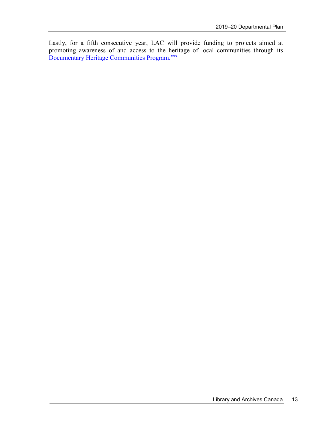Lastly, for a fifth consecutive year, LAC will provide funding to projects aimed at promoting awareness of and access to the heritage of local communities through its [Documentary Heritage Communities Program.](http://www.bac-lac.gc.ca/eng/services/documentary-heritage-communities-program/Pages/dhcp-portal.aspx)<sup>[xxx](#page-35-29)</sup>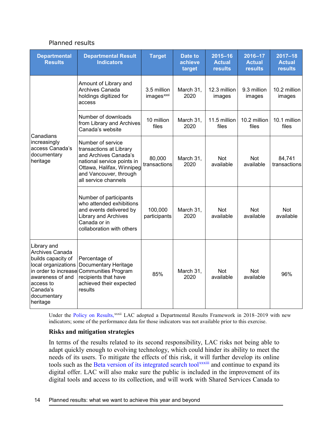#### Planned results

| <b>Departmental</b><br><b>Results</b>                                                                                                                                       | <b>Departmental Result</b><br><b>Indicators</b>                                                                                                                                    | <b>Target</b>                         | <b>Date to</b><br>achieve<br>target | $2015 - 16$<br><b>Actual</b><br><b>results</b> | 2016-17<br><b>Actual</b><br>results | $2017 - 18$<br><b>Actual</b><br><b>results</b> |
|-----------------------------------------------------------------------------------------------------------------------------------------------------------------------------|------------------------------------------------------------------------------------------------------------------------------------------------------------------------------------|---------------------------------------|-------------------------------------|------------------------------------------------|-------------------------------------|------------------------------------------------|
|                                                                                                                                                                             | Amount of Library and<br>Archives Canada<br>holdings digitized for<br>access                                                                                                       | 3.5 million<br>images <sup>xxxi</sup> | March 31,<br>2020                   | 12.3 million<br>images                         | 9.3 million<br>images               | 10.2 million<br>images                         |
|                                                                                                                                                                             | Number of downloads<br>from Library and Archives<br>Canada's website                                                                                                               | 10 million<br>files                   | March 31,<br>2020                   | 11.5 million<br>files                          | 10.2 million<br>files               | 10.1 million<br>files                          |
| Canadians<br>increasingly<br>access Canada's<br>documentary<br>heritage                                                                                                     | Number of service<br>transactions at Library<br>and Archives Canada's<br>national service points in<br>Ottawa, Halifax, Winnipeg<br>and Vancouver, through<br>all service channels | 80,000<br>transactions                | March 31,<br>2020                   | <b>Not</b><br>available                        | <b>Not</b><br>available             | 84,741<br>transactions                         |
|                                                                                                                                                                             | Number of participants<br>who attended exhibitions<br>and events delivered by<br><b>Library and Archives</b><br>Canada or in<br>collaboration with others                          | 100,000<br>participants               | March 31,<br>2020                   | <b>Not</b><br>available                        | Not<br>available                    | <b>Not</b><br>available                        |
| Library and<br>Archives Canada<br>builds capacity of<br>local organizations<br>in order to increase<br>awareness of and<br>access to<br>Canada's<br>documentary<br>heritage | Percentage of<br>Documentary Heritage<br><b>Communities Program</b><br>recipients that have<br>achieved their expected<br>results                                                  |                                       | March 31,<br>2020                   | <b>Not</b><br>available                        | <b>Not</b><br>available             | 96%                                            |

Under the [Policy on Results,](https://www.tbs-sct.gc.ca/pol/doc-eng.aspx?id=31300)<sup>xxx[i](#page-35-31)i</sup> LAC adopted a Departmental Results Framework in 2018–2019 with new indicators; some of the performance data for those indicators was not available prior to this exercise.

#### **Risks and mitigation strategies**

In terms of the results related to its second responsibility, LAC risks not being able to adapt quickly enough to evolving technology, which could hinder its ability to meet the needs of its users. To mitigate the effects of this risk, it wil[l](#page-35-32) further develop its online tools such as the [Beta version of its integrated search tool](http://www.collectionscanada.gc.ca/lac-bac/search/all)<sup>xxxiii</sup> and continue to expand its digital offer. LAC will also make sure the public is included in the improvement of its digital tools and access to its collection, and will work with Shared Services Canada to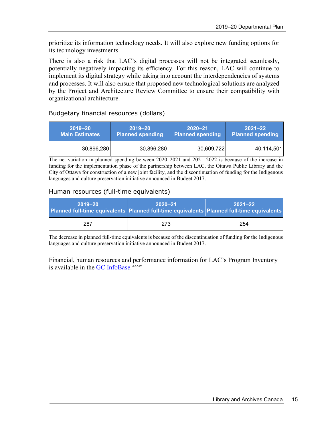prioritize its information technology needs. It will also explore new funding options for its technology investments.

There is also a risk that LAC's digital processes will not be integrated seamlessly, potentially negatively impacting its efficiency. For this reason, LAC will continue to implement its digital strategy while taking into account the interdependencies of systems and processes. It will also ensure that proposed new technological solutions are analyzed by the Project and Architecture Review Committee to ensure their compatibility with organizational architecture.

### Budgetary financial resources (dollars)

| $2019 - 20$           | $2019 - 20$             | $2020 - 21$             | $2021 - 22$             |
|-----------------------|-------------------------|-------------------------|-------------------------|
| <b>Main Estimates</b> | <b>Planned spending</b> | <b>Planned spending</b> | <b>Planned spending</b> |
| 30,896,280            | 30,896,280              | 30,609,722              | 40,114,501              |

The net variation in planned spending between 2020–2021 and 2021–2022 is because of the increase in funding for the implementation phase of the partnership between LAC, the Ottawa Public Library and the City of Ottawa for construction of a new joint facility, and the discontinuation of funding for the Indigenous languages and culture preservation initiative announced in Budget 2017.

#### Human resources (full-time equivalents)

| $2019 - 20$<br>Planned full-time equivalents   Planned full-time equivalents   Planned full-time equivalents | $2020 - 21$ | $2021 - 22$ |
|--------------------------------------------------------------------------------------------------------------|-------------|-------------|
| 287                                                                                                          | 273         | 254         |

The decrease in planned full-time equivalents is because of the discontinuation of funding for the Indigenous languages and culture preservation initiative announced in Budget 2017.

Financial, human resources and per[fo](#page-35-33)rmance information for LAC's Program Inventory is available in the GC [InfoBase.](https://www.tbs-sct.gc.ca/ems-sgd/edb-bdd/index-eng.html)<sup>xxxiv</sup>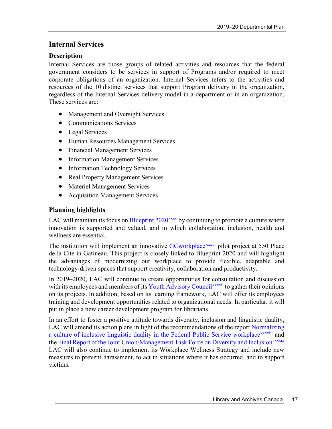### <span id="page-20-0"></span>**Internal Services**

### **Description**

Internal Services are those groups of related activities and resources that the federal government considers to be services in support of Programs and/or required to meet corporate obligations of an organization. Internal Services refers to the activities and resources of the 10 distinct services that support Program delivery in the organization, regardless of the Internal Services delivery model in a department or in an organization. These services are:

- Management and Oversight Services
- Communications Services
- Legal Services
- Human Resources Management Services
- Financial Management Services
- Information Management Services
- Information Technology Services
- Real Property Management Services
- Materiel Management Services
- Acquisition Management Services

### **Planning highlights**

LAC will maintain its focus on **Blueprint**  $2020^{xxxx}$  by continuing to promote a culture where innovation is supported and valued, and in which collaboration, inclusion, health and wellness are essential.

The institution will implement an innovative [GCworkplace](https://www.tpsgc-pwgsc.gc.ca/biens-property/mt-wp/mt-wp-eng.html)<sup>xxxvi</sup> pilot project at 550 Place de la Cité in Gatineau. This project is closely linked to Blueprint 2020 and will highlight the advantages of modernizing our workplace to provide flexible, adaptable and technology-driven spaces that support creativity, collaboration and productivity.

In 2019–2020, LAC will continue to create opportunities for con[su](#page-35-35)ltation and discussion with its employees and members of its [Youth Advisory Council](http://www.bac-lac.gc.ca/eng/about-us/Pages/youth-advisory-council.aspx)<sup>xxxvii</sup> to gather their opinions on its projects. In addition, based on its learning framework, LAC will offer its employees training and development opportunities related to organizational needs. In particular, it will put in place a new career development program for librarians.

In an effort to foster a positive attitude towards diversity, inclusion and linguistic duality, LAC will amend its action plans in light of the recommendations of the report [Normalizing](https://www.canada.ca/en/privy-council/corporate/clerk/publications/next-level.html)  [a culture of inclusive linguistic duality in the Federal Public Service workplace](https://www.canada.ca/en/privy-council/corporate/clerk/publications/next-level.html)<sup>xxxviii</sup>and the [Final Report of the Joint Union/Management Task Force on Diversity and Inclusion.](https://www.canada.ca/en/treasury-board-secretariat/corporate/reports/building-diverse-inclusive-public-service-final-report-joint-union-management-task-force-diversity-inclusion.html)<sup>xxxix</sup> LAC will also continue to implement its Workplace Wellness Strategy and include new measures to prevent harassment, to act in situations where it has occurred, and to support victims.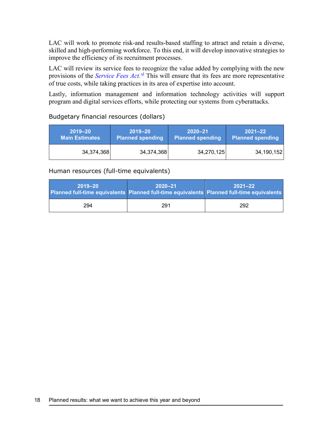LAC will work to promote risk-and results-based staffing to attract and retain a diverse, skilled and high-performing workforce. To this end, it will develop innovative strategies to improve the efficiency of its recruitment processes.

LAC will review its service fees to recognize the value added by complying with the new provisions of the *[Service Fees Act.](https://laws-lois.justice.gc.ca/eng/acts/S-8.4/)* [xl](#page-35-38) This will ensure that its fees are more representative of true costs, while taking practices in its area of expertise into account.

Lastly, information management and information technology activities will support program and digital services efforts, while protecting our systems from cyberattacks.

### Budgetary financial resources (dollars)

| 2019–20               | $2019 - 20$             | $2020 - 21$             | 2021–22                 |
|-----------------------|-------------------------|-------------------------|-------------------------|
| <b>Main Estimates</b> | <b>Planned spending</b> | <b>Planned spending</b> | <b>Planned spending</b> |
| 34,374,368            | 34,374,368              | 34,270,125              | 34,190,152              |

#### Human resources (full-time equivalents)

| $2019 - 20$<br>Planned full-time equivalents   Planned full-time equivalents   Planned full-time equivalents | $2020 - 21$ | $2021 - 22$ |
|--------------------------------------------------------------------------------------------------------------|-------------|-------------|
| 294                                                                                                          | 291         | 292         |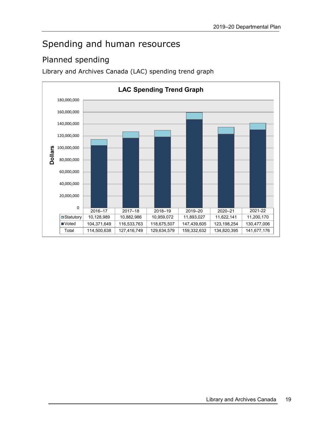# <span id="page-22-0"></span>Spending and human resources

# <span id="page-22-1"></span>Planned spending

Library and Archives Canada (LAC) spending trend graph

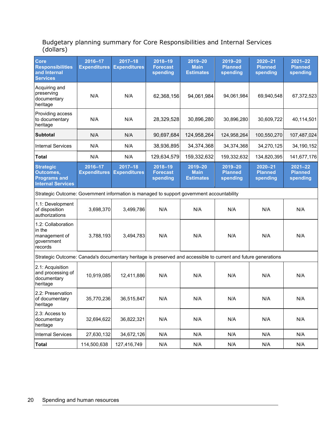#### Budgetary planning summary for Core Responsibilities and Internal Services (dollars)

| <b>Core</b><br><b>Responsibilities</b><br>and Internal<br><b>Services</b>                                      | 2016-17<br><b>Expenditures</b> | $2017 - 18$<br><b>Expenditures</b> | 2018-19<br><b>Forecast</b><br>spending     | 2019-20<br><b>Main</b><br><b>Estimates</b>     | 2019-20<br><b>Planned</b><br>spending     | $2020 - 21$<br><b>Planned</b><br>spending | $2021 - 22$<br><b>Planned</b><br>spending |
|----------------------------------------------------------------------------------------------------------------|--------------------------------|------------------------------------|--------------------------------------------|------------------------------------------------|-------------------------------------------|-------------------------------------------|-------------------------------------------|
| Acquiring and<br>preserving<br>documentary<br>heritage                                                         | N/A                            | N/A                                | 62,368,156                                 | 94,061,984                                     | 94,061,984                                | 69,940,548                                | 67,372,523                                |
| Providing access<br>to documentary<br>heritage                                                                 | N/A                            | N/A                                | 28,329,528                                 | 30,896,280                                     | 30,896,280                                | 30,609,722                                | 40,114,501                                |
| <b>Subtotal</b>                                                                                                | N/A                            | N/A                                | 90,697,684                                 | 124,958,264                                    | 124,958,264                               | 100,550,270                               | 107,487,024                               |
| <b>Internal Services</b>                                                                                       | N/A                            | N/A                                | 38,936,895                                 | 34,374,368                                     | 34,374,368                                | 34,270,125                                | 34,190,152                                |
| <b>Total</b>                                                                                                   | N/A                            | N/A                                | 129,634,579                                | 159,332,632                                    | 159,332,632                               | 134,820,395                               | 141,677,176                               |
| <b>Strategic</b><br>Outcomes,<br><b>Programs and</b><br><b>Internal Services</b>                               | 2016-17<br><b>Expenditures</b> | $2017 - 18$<br><b>Expenditures</b> | $2018 - 19$<br><b>Forecast</b><br>spending | $2019 - 20$<br><b>Main</b><br><b>Estimates</b> | $2019 - 20$<br><b>Planned</b><br>spending | $2020 - 21$<br><b>Planned</b><br>spending | $2021 - 22$<br><b>Planned</b><br>spending |
| Strategic Outcome: Government information is managed to support government accountability                      |                                |                                    |                                            |                                                |                                           |                                           |                                           |
| 1.1: Development<br>of disposition<br>authorizations                                                           | 3,698,370                      | 3,499,786                          | N/A                                        | N/A                                            | N/A                                       | N/A                                       | N/A                                       |
| 1.2: Collaboration<br>in the<br>management of<br>government<br>records                                         | 3,788,193                      | 3,494,783                          | N/A                                        | N/A                                            | N/A                                       | N/A                                       | N/A                                       |
| Strategic Outcome: Canada's documentary heritage is preserved and accessible to current and future generations |                                |                                    |                                            |                                                |                                           |                                           |                                           |
| 2.1: Acquisition<br>and processing of<br>documentary<br>heritage                                               | 10,919,085                     | 12,411,886                         | N/A                                        | N/A                                            | N/A                                       | N/A                                       | N/A                                       |
| 2.2: Preservation<br>of documentary<br>heritage                                                                | 35,770,236                     | 36,515,847                         | N/A                                        | N/A                                            | N/A                                       | N/A                                       | N/A                                       |
| 2.3: Access to<br>documentary<br>heritage                                                                      | 32,694,622                     | 36,822,321                         | N/A                                        | N/A                                            | N/A                                       | N/A                                       | N/A                                       |
| <b>Internal Services</b>                                                                                       | 27,630,132                     | 34,672,126                         | N/A                                        | N/A                                            | N/A                                       | N/A                                       | N/A                                       |
| <b>Total</b>                                                                                                   | 114,500,638                    | 127,416,749                        | N/A                                        | N/A                                            | N/A                                       | N/A                                       | N/A                                       |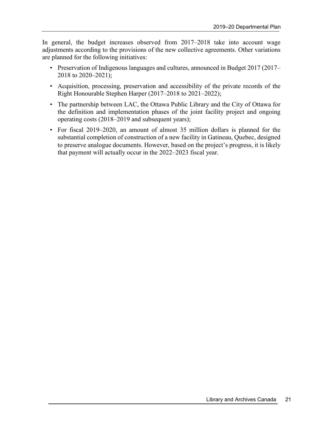In general, the budget increases observed from 2017–2018 take into account wage adjustments according to the provisions of the new collective agreements. Other variations are planned for the following initiatives:

- Preservation of Indigenous languages and cultures, announced in Budget 2017 (2017– 2018 to 2020–2021);
- Acquisition, processing, preservation and accessibility of the private records of the Right Honourable Stephen Harper (2017–2018 to 2021–2022);
- The partnership between LAC, the Ottawa Public Library and the City of Ottawa for the definition and implementation phases of the joint facility project and ongoing operating costs (2018–2019 and subsequent years);
- For fiscal 2019–2020, an amount of almost 35 million dollars is planned for the substantial completion of construction of a new facility in Gatineau, Quebec, designed to preserve analogue documents. However, based on the project's progress, it is likely that payment will actually occur in the 2022–2023 fiscal year.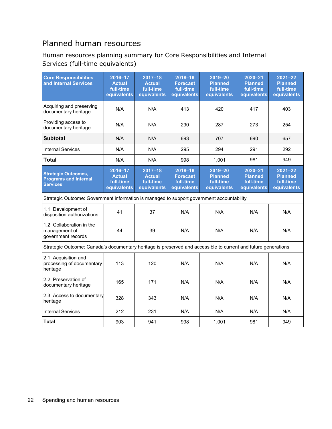## <span id="page-25-0"></span>Planned human resources

### Human resources planning summary for Core Responsibilities and Internal Services (full-time equivalents)

| <b>Core Responsibilities</b><br>and Internal Services                                                          | 2016-17<br><b>Actual</b><br>full-time<br>equivalents | $2017 - 18$<br><b>Actual</b><br>full-time<br>equivalents | 2018-19<br><b>Forecast</b><br>full-time<br>equivalents     | 2019-20<br><b>Planned</b><br>full-time<br>equivalents | $2020 - 21$<br><b>Planned</b><br>full-time<br>equivalents | $2021 - 22$<br><b>Planned</b><br>full-time<br>equivalents |
|----------------------------------------------------------------------------------------------------------------|------------------------------------------------------|----------------------------------------------------------|------------------------------------------------------------|-------------------------------------------------------|-----------------------------------------------------------|-----------------------------------------------------------|
| Acquiring and preserving<br>documentary heritage                                                               | N/A                                                  | N/A                                                      | 413                                                        | 420                                                   | 417                                                       | 403                                                       |
| Providing access to<br>documentary heritage                                                                    | N/A                                                  | N/A                                                      | 290                                                        | 287                                                   | 273                                                       | 254                                                       |
| <b>Subtotal</b>                                                                                                | N/A                                                  | N/A                                                      | 693                                                        | 707                                                   | 690                                                       | 657                                                       |
| <b>Internal Services</b>                                                                                       | N/A                                                  | N/A                                                      | 295                                                        | 294                                                   | 291                                                       | 292                                                       |
| <b>Total</b>                                                                                                   | N/A                                                  | N/A                                                      | 998                                                        | 1,001                                                 | 981                                                       | 949                                                       |
| <b>Strategic Outcomes,</b><br><b>Programs and Internal</b><br><b>Services</b>                                  | 2016-17<br><b>Actual</b><br>full-time<br>equivalents | $2017 - 18$<br><b>Actual</b><br>full-time<br>equivalents | $2018 - 19$<br><b>Forecast</b><br>full-time<br>equivalents | 2019-20<br><b>Planned</b><br>full-time<br>equivalents | $2020 - 21$<br><b>Planned</b><br>full-time<br>equivalents | $2021 - 22$<br><b>Planned</b><br>full-time<br>equivalents |
| Strategic Outcome: Government information is managed to support government accountability                      |                                                      |                                                          |                                                            |                                                       |                                                           |                                                           |
| 1.1: Development of<br>disposition authorizations                                                              | 41                                                   | 37                                                       | N/A                                                        | N/A                                                   | N/A                                                       | N/A                                                       |
| 1.2: Collaboration in the<br>management of<br>government records                                               | 44                                                   | 39                                                       | N/A                                                        | N/A                                                   | N/A                                                       | N/A                                                       |
| Strategic Outcome: Canada's documentary heritage is preserved and accessible to current and future generations |                                                      |                                                          |                                                            |                                                       |                                                           |                                                           |
| 2.1: Acquisition and<br>processing of documentary<br>heritage                                                  | 113                                                  | 120                                                      | N/A                                                        | N/A                                                   | N/A                                                       | N/A                                                       |
| 2.2: Preservation of<br>documentary heritage                                                                   | 165                                                  | 171                                                      | N/A                                                        | N/A                                                   | N/A                                                       | N/A                                                       |
| 2.3: Access to documentary<br>heritage                                                                         | 328                                                  | 343                                                      | N/A                                                        | N/A                                                   | N/A                                                       | N/A                                                       |
| <b>Internal Services</b>                                                                                       | 212                                                  | 231                                                      | N/A                                                        | N/A                                                   | N/A                                                       | N/A                                                       |
| <b>Total</b>                                                                                                   | 903                                                  | 941                                                      | 998                                                        | 1,001                                                 | 981                                                       | 949                                                       |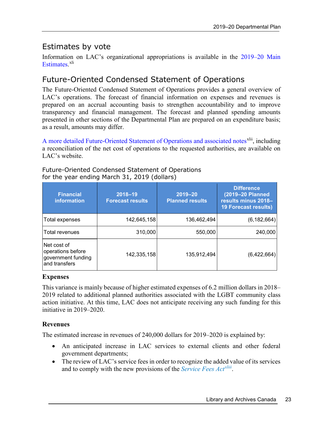### <span id="page-26-0"></span>Estimates by vote

Information on LAC's organizational appropriations is available in the [2019–20 Main](eng:%20%20https://www.canada.ca/en/treasury-board-secretariat/services/planned-government-spending/government-expenditure-plan-main-estimates.html)  [Estimates](eng:%20%20https://www.canada.ca/en/treasury-board-secretariat/services/planned-government-spending/government-expenditure-plan-main-estimates.html)[.](http://www.tpsgc-pwgsc.gc.ca/recgen/cpc-pac/index-eng.html)<sup>[xli](#page-35-39)</sup>

### <span id="page-26-1"></span>Future-Oriented Condensed Statement of Operations

The Future-Oriented Condensed Statement of Operations provides a general overview of LAC's operations. The forecast of financial information on expenses and revenues is prepared on an accrual accounting basis to strengthen accountability and to improve transparency and financial management. The forecast and planned spending amounts presented in other sections of the Departmental Plan are prepared on an expenditure basis; as a result, amounts may differ.

[A more detailed Future-Oriented Statement of Operations and associated notes](https://www.bac-lac.gc.ca/eng/about-us/report-plans-priorities/departmental-plan-2019-2020/Pages/future-oriented-operations-2019-2020.aspx)<sup>[xlii](#page-35-40)</sup>, including a reconciliation of the net cost of operations to the requested authorities, are available on LAC's website.

| <b>Financial</b><br><b>information</b>                                  | 2018-19<br><b>Forecast results</b> | $2019 - 20$<br><b>Planned results</b> | <b>Difference</b><br>(2019-20 Planned<br>results minus 2018-<br><b>19 Forecast results)</b> |
|-------------------------------------------------------------------------|------------------------------------|---------------------------------------|---------------------------------------------------------------------------------------------|
| Total expenses                                                          | 142,645,158                        | 136,462,494                           | (6, 182, 664)                                                                               |
| lTotal revenues                                                         | 310,000                            | 550,000                               | 240,000                                                                                     |
| Net cost of<br>operations before<br>government funding<br>and transfers | 142,335,158                        | 135,912,494                           | (6,422,664)                                                                                 |

Future-Oriented Condensed Statement of Operations for the year ending March 31, 2019 (dollars)

#### **Expenses**

This variance is mainly because of higher estimated expenses of 6.2 million dollars in 2018– 2019 related to additional planned authorities associated with the LGBT community class action initiative. At this time, LAC does not anticipate receiving any such funding for this initiative in 2019–2020.

### **Revenues**

The estimated increase in revenues of 240,000 dollars for 2019–2020 is explained by:

- An anticipated increase in LAC services to external clients and other federal government departments;
- The review of LAC's service fees in order to recognize the added value of its services and to comply with the new provisions of the *[Service Fees Act](https://laws-lois.justice.gc.ca/eng/acts/S-8.4/)xliii*[.](#page-35-41)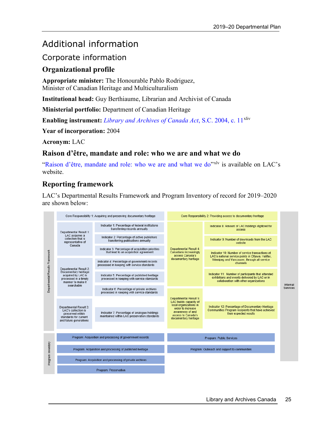# <span id="page-28-0"></span>Additional information

### <span id="page-28-1"></span>Corporate information

### <span id="page-28-2"></span>**Organizational profile**

**Appropriate minister:** The Honourable Pablo Rodriguez, Minister of Canadian Heritage and Multiculturalism

**Institutional head:** Guy Berthiaume, Librarian and Archivist of Canada

**Ministerial portfolio:** Department of Canadian Heritage

**Enabling instrument:** *[Library and Archives of Canada Act](http://laws-lois.justice.gc.ca/eng/acts/L-7.7/page-1.html)*, S.C. 2004, c. 11<sup>[xliv](#page-35-42)</sup>

**Year of incorporation:** 2004

**Acronym:** LAC

### <span id="page-28-3"></span>**Raison d'être, mandate and role: who we are and what we do**

["Raison d'être, mandate and role: who we are and what we do"](http://www.bac-lac.gc.ca/eng/about-us/report-plans-priorities/departmental-plan-2019-2020/Pages/supplementary-corporate-information-2019-2020.aspx#raison)x<sup>lv</sup> is available on LAC's website.

### <span id="page-28-4"></span>**Reporting framework**

LAC's Departmental Results Framework and Program Inventory of record for 2019–2020 are shown below:

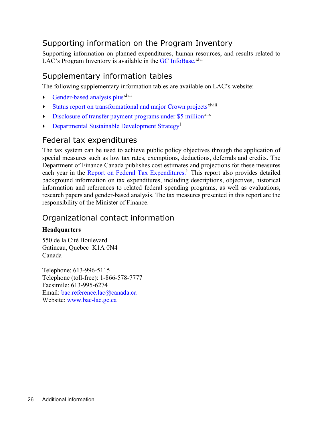## <span id="page-29-0"></span>Supporting information on the Program Inventory

Supporting information on planned expenditures, human resources, and results related to LAC's Program Inventory is available in the  $GC$  [InfoBase.](https://www.tbs-sct.gc.ca/ems-sgd/edb-bdd/index-eng.html)<sup>[xlvi](#page-35-44)</sup>

### <span id="page-29-1"></span>Supplementary information tables

The following supplementary information tables are available on LAC's website:

- [Gender-based analysis plus](https://www.bac-lac.gc.ca/eng/about-us/report-plans-priorities/departmental-plan-2019-2020/Pages/supplementary-information-tables-2019-2020.aspx#analysis)<sup>xlv[i](#page-35-45)i</sup>
- [Status report on transformational and major Crown projects](https://www.bac-lac.gc.ca/eng/about-us/report-plans-priorities/departmental-plan-2019-2020/Pages/supplementary-information-tables-2019-2020.aspx#report) $x^{\text{1viii}}$  $x^{\text{1viii}}$  $x^{\text{1viii}}$
- $\triangleright$  [Disclosure of transfer payment programs under \\$5 million](https://www.bac-lac.gc.ca/eng/about-us/report-plans-priorities/departmental-plan-2019-2020/Pages/supplementary-information-tables-2019-2020.aspx#disclosure)<sup>[xlix](#page-35-47)</sup>
- **[Departmental Sustainable Development Strategy](https://www.bac-lac.gc.ca/eng/about-us/report-plans-priorities/departmental-plan-2019-2020/Pages/supplementary-information-tables-2019-2020.aspx#strategy)**

### <span id="page-29-2"></span>Federal tax expenditures

The tax system can be used to achieve public policy objectives through the application of special measures such as low tax rates, exemptions, deductions, deferrals and credits. The Department of Finance Canada publishes cost estimates and projections for these measures each year in the [Report on Federal Tax Expenditures.](http://www.fin.gc.ca/purl/taxexp-eng.asp)<sup>Ii</sup> This report also provides detailed background information on tax expenditures, including descriptions, objectives, historical information and references to related federal spending programs, as well as evaluations, research papers and gender-based analysis. The tax measures presented in this report are the responsibility of the Minister of Finance.

## <span id="page-29-3"></span>Organizational contact information

### **Headquarters**

550 de la Cité Boulevard Gatineau, Quebec K1A 0N4 Canada

Telephone: 613-996-5115 Telephone (toll-free): 1-866-578-7777 Facsimile: 613-995-6274 Email: [bac.reference.lac@canada.ca](mailto:bac.reference.lac@canada.ca) Website: [www.bac-lac.gc.ca](http://www.collectionscanada.gc.ca/)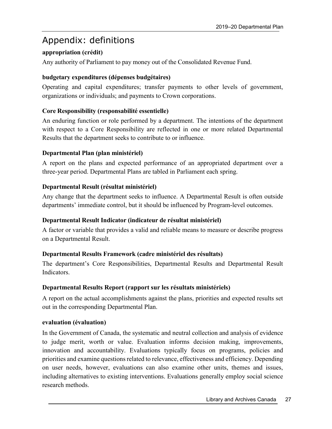# <span id="page-30-0"></span>Appendix: definitions

### **appropriation (crédit)**

Any authority of Parliament to pay money out of the Consolidated Revenue Fund.

### **budgetary expenditures (dépenses budgétaires)**

Operating and capital expenditures; transfer payments to other levels of government, organizations or individuals; and payments to Crown corporations.

### **Core Responsibility (responsabilité essentielle)**

An enduring function or role performed by a department. The intentions of the department with respect to a Core Responsibility are reflected in one or more related Departmental Results that the department seeks to contribute to or influence.

### **Departmental Plan (plan ministériel)**

A report on the plans and expected performance of an appropriated department over a three-year period. Departmental Plans are tabled in Parliament each spring.

### **Departmental Result (résultat ministériel)**

Any change that the department seeks to influence. A Departmental Result is often outside departments' immediate control, but it should be influenced by Program-level outcomes.

### **Departmental Result Indicator (indicateur de résultat ministériel)**

A factor or variable that provides a valid and reliable means to measure or describe progress on a Departmental Result.

### **Departmental Results Framework (cadre ministériel des résultats)**

The department's Core Responsibilities, Departmental Results and Departmental Result Indicators.

#### **Departmental Results Report (rapport sur les résultats ministériels)**

A report on the actual accomplishments against the plans, priorities and expected results set out in the corresponding Departmental Plan.

#### **evaluation (évaluation)**

In the Government of Canada, the systematic and neutral collection and analysis of evidence to judge merit, worth or value. Evaluation informs decision making, improvements, innovation and accountability. Evaluations typically focus on programs, policies and priorities and examine questions related to relevance, effectiveness and efficiency. Depending on user needs, however, evaluations can also examine other units, themes and issues, including alternatives to existing interventions. Evaluations generally employ social science research methods.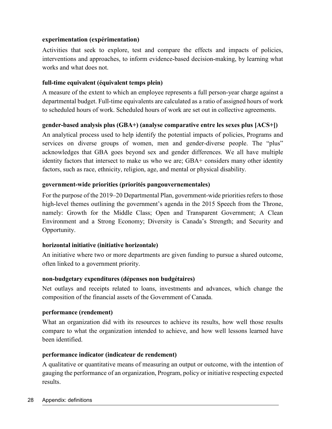### **experimentation (expérimentation)**

Activities that seek to explore, test and compare the effects and impacts of policies, interventions and approaches, to inform evidence-based decision-making, by learning what works and what does not.

### **full-time equivalent (équivalent temps plein)**

A measure of the extent to which an employee represents a full person-year charge against a departmental budget. Full-time equivalents are calculated as a ratio of assigned hours of work to scheduled hours of work. Scheduled hours of work are set out in collective agreements.

### **gender-based analysis plus (GBA+) (analyse comparative entre les sexes plus [ACS+])**

An analytical process used to help identify the potential impacts of policies, Programs and services on diverse groups of women, men and gender-diverse people. The "plus" acknowledges that GBA goes beyond sex and gender differences. We all have multiple identity factors that intersect to make us who we are; GBA+ considers many other identity factors, such as race, ethnicity, religion, age, and mental or physical disability.

### **government-wide priorities (priorités pangouvernementales)**

For the purpose of the 2019–20 Departmental Plan, government-wide priorities refers to those high-level themes outlining the government's agenda in the 2015 Speech from the Throne, namely: Growth for the Middle Class; Open and Transparent Government; A Clean Environment and a Strong Economy; Diversity is Canada's Strength; and Security and Opportunity.

#### **horizontal initiative (initiative horizontale)**

An initiative where two or more departments are given funding to pursue a shared outcome, often linked to a government priority.

### **non-budgetary expenditures (dépenses non budgétaires)**

Net outlays and receipts related to loans, investments and advances, which change the composition of the financial assets of the Government of Canada.

#### **performance (rendement)**

What an organization did with its resources to achieve its results, how well those results compare to what the organization intended to achieve, and how well lessons learned have been identified.

### **performance indicator (indicateur de rendement)**

A qualitative or quantitative means of measuring an output or outcome, with the intention of gauging the performance of an organization, Program, policy or initiative respecting expected results.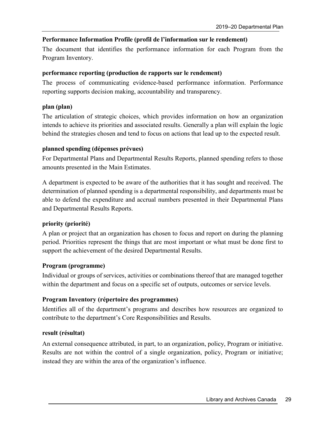### **Performance Information Profile (profil de l'information sur le rendement)**

The document that identifies the performance information for each Program from the Program Inventory.

### **performance reporting (production de rapports sur le rendement)**

The process of communicating evidence-based performance information. Performance reporting supports decision making, accountability and transparency.

### **plan (plan)**

The articulation of strategic choices, which provides information on how an organization intends to achieve its priorities and associated results. Generally a plan will explain the logic behind the strategies chosen and tend to focus on actions that lead up to the expected result.

### **planned spending (dépenses prévues)**

For Departmental Plans and Departmental Results Reports, planned spending refers to those amounts presented in the Main Estimates.

A department is expected to be aware of the authorities that it has sought and received. The determination of planned spending is a departmental responsibility, and departments must be able to defend the expenditure and accrual numbers presented in their Departmental Plans and Departmental Results Reports.

### **priority (priorité)**

A plan or project that an organization has chosen to focus and report on during the planning period. Priorities represent the things that are most important or what must be done first to support the achievement of the desired Departmental Results.

### **Program (programme)**

Individual or groups of services, activities or combinations thereof that are managed together within the department and focus on a specific set of outputs, outcomes or service levels.

### **Program Inventory (répertoire des programmes)**

Identifies all of the department's programs and describes how resources are organized to contribute to the department's Core Responsibilities and Results.

### **result (résultat)**

An external consequence attributed, in part, to an organization, policy, Program or initiative. Results are not within the control of a single organization, policy, Program or initiative; instead they are within the area of the organization's influence.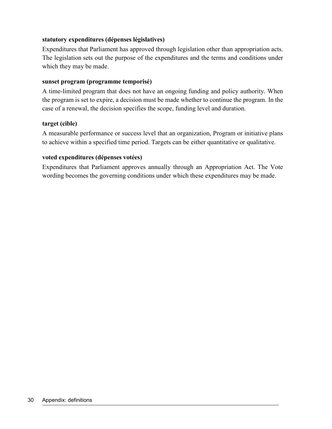#### **statutory expenditures (dépenses législatives)**

Expenditures that Parliament has approved through legislation other than appropriation acts. The legislation sets out the purpose of the expenditures and the terms and conditions under which they may be made.

#### **sunset program (programme temporisé)**

A time-limited program that does not have an ongoing funding and policy authority. When the program is set to expire, a decision must be made whether to continue the program. In the case of a renewal, the decision specifies the scope, funding level and duration.

#### **target (cible)**

A measurable performance or success level that an organization, Program or initiative plans to achieve within a specified time period. Targets can be either quantitative or qualitative.

#### **voted expenditures (dépenses votées)**

Expenditures that Parliament approves annually through an Appropriation Act. The Vote wording becomes the governing conditions under which these expenditures may be made.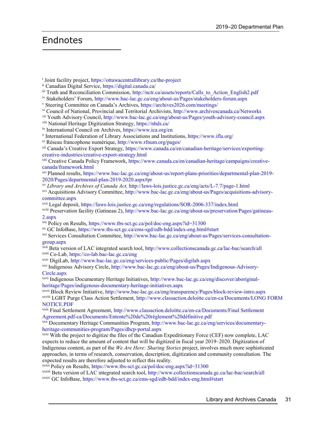## <span id="page-34-0"></span>Endnotes

<sup>i</sup> Joint facility project, https://ottawacentrallibrary.ca/the-project

ii Canadian Digital Service, https://digital.canada.ca/

- <sup>iv</sup> Stakeholders' Forum, http://www.bac-lac.gc.ca/eng/about-us/Pages/stakeholders-forum.aspx v Steering Committee on Canada's Archives, https://archives2026.com/meetings/
- 
- vi Council of National, Provincial and Territorial Archivists, http://www.archivescanada.ca/Networks

vii Youth Advisory Council, http://www.bac-lac.gc.ca/eng/about-us/Pages/youth-advisory-council.aspx

viii National Heritage Digitization Strategy, https://nhds.ca/

ix International Council on Archives, https://www.ica.org/en

<sup>x</sup> International Federation of Library Associations and Institutions, https://www.ifla.org/

xi Réseau francophone numérique,<http://www.rfnum.org/pages/>

xii Canada's Creative Export Strategy, https://www.canada.ca/en/canadian-heritage/services/exportingcreative-industries/creative-export-strategy.html

xiii Creative Canada Policy Framework, https://www.canada.ca/en/canadian-heritage/campaigns/creativecanada/framework.html

xiv Planned results, https://www.bac-lac.gc.ca/eng/about-us/report-plans-priorities/departmental-plan-2019- 2020/Pages/departmental-plan-2019-2020.aspx#pr

xv *Library and Archives of Canada Act,* http://laws-lois.justice.gc.ca/eng/acts/L-7.7/page-1.html

xvi Acquisitions Advisory Committee, http://www.bac-lac.gc.ca/eng/about-us/Pages/acquisitions-advisorycommittee.aspx

xvii Legal deposit, https://laws-lois.justice.gc.ca/eng/regulations/SOR-2006-337/index.html

xviii Preservation facility (Gatineau 2), http://www.bac-lac.gc.ca/eng/about-us/preservation/Pages/gatineau-2.aspx

- xix Policy on Results, https://www.tbs-sct.gc.ca/pol/doc-eng.aspx?id=31300
- xx GC InfoBase,<https://www.tbs-sct.gc.ca/ems-sgd/edb-bdd/index-eng.html#start>

xxi Services Consultation Committee, http://www.bac-lac.gc.ca/eng/about-us/Pages/services-consultationgroup.aspx

xxii Beta version of LAC integrated search tool, http://www.collectionscanada.gc.ca/lac-bac/search/all xxiii Co-Lab, https://co-lab.bac-lac.gc.ca/eng

xxiv DigiLab, http://www.bac-lac.gc.ca/eng/services-public/Pages/digilab.aspx

xxv Indigenous Advisory Circle, http://www.bac-lac.gc.ca/eng/about-us/Pages/Indigenous-Advisory-Circle.aspx

xxvi Indigenous Documentary Heritage Initiatives, http://www.bac-lac.gc.ca/eng/discover/aboriginalheritage/Pages/indigenous-documentary-heritage-initiatives.aspx

xxvii Block Review Initiative, http://www.bac-lac.gc.ca/eng/transparency/Pages/block-review-intro.aspx xxviii LGBT Purge Class Action Settlement, http://www.classaction.deloitte.ca/en-ca/Documents/LONG FORM NOTICE.PDF

xxix Final Settlement Agreement, [http://www.classaction.deloitte.ca/en-ca/Documents/Final Settlement](http://www.classaction.deloitte.ca/fr-ca/Documents/Entente%20de%20r%C3%A8glement%20d%C3%A9finitive.pdf)  [Agreement.pdf-ca/Documents/Entente%20de%20règlement%20définitive.pdf](http://www.classaction.deloitte.ca/fr-ca/Documents/Entente%20de%20r%C3%A8glement%20d%C3%A9finitive.pdf)

xxx Documentary Heritage Communities Program, http://www.bac-lac.gc.ca/eng/services/documentaryheritage-communities-program/Pages/dhcp-portal.aspx<br>xxxi With the project to digitize the files of the Canadian Expeditionary Force (CEF) now complete, LAC

expects to reduce the amount of content that will be digitized in fiscal year 2019–2020. Digitization of Indigenous content, as part of the *We Are Here: Sharing Stories* project, involves much more sophisticated approaches, in terms of research, conservation, description, digitization and community consultation. The expected results are therefore adjusted to reflect this reality.

xxxii Policy on Results, https://www.tbs-sct.gc.ca/pol/doc-eng.aspx?id=31300

xxxiii Beta version of LAC integrated search tool, http://www.collectionscanada.gc.ca/lac-bac/search/all xxxiv GC InfoBase,<https://www.tbs-sct.gc.ca/ems-sgd/edb-bdd/index-eng.html#start>

iii [Truth](https://www.aadnc-aandc.gc.ca/fra/1450124405592/1450124456123) and Reconciliation Commission, http://nctr.ca/assets/reports/Calls\_to\_Action\_English2.pdf